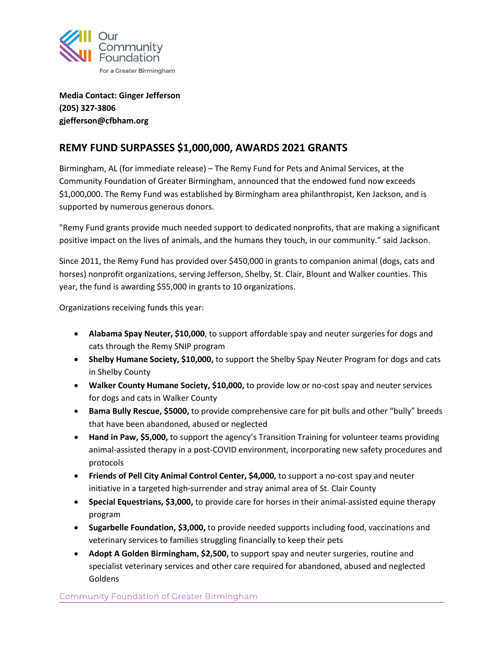

**Media Contact: Ginger Jefferson (205) 327-3806 gjefferson@cfbham.org** 

## **REMY FUND SURPASSES \$1,000,000, AWARDS 2021 GRANTS**

Birmingham, AL (for immediate release) – The Remy Fund for Pets and Animal Services, at the Community Foundation of Greater Birmingham, announced that the endowed fund now exceeds \$1,000,000. The Remy Fund was established by Birmingham area philanthropist, Ken Jackson, and is supported by numerous generous donors.

"Remy Fund grants provide much needed support to dedicated nonprofits, that are making a significant positive impact on the lives of animals, and the humans they touch, in our community." said Jackson.

Since 2011, the Remy Fund has provided over \$450,000 in grants to companion animal (dogs, cats and horses) nonprofit organizations, serving Jefferson, Shelby, St. Clair, Blount and Walker counties. This year, the fund is awarding \$55,000 in grants to 10 organizations.

Organizations receiving funds this year:

- **Alabama Spay Neuter, \$10,000**, to support affordable spay and neuter surgeries for dogs and cats through the Remy SNIP program
- **Shelby Humane Society, \$10,000,** to support the Shelby Spay Neuter Program for dogs and cats in Shelby County
- **Walker County Humane Society, \$10,000,** to provide low or no-cost spay and neuter services for dogs and cats in Walker County
- **Bama Bully Rescue, \$5000,** to provide comprehensive care for pit bulls and other "bully" breeds that have been abandoned, abused or neglected
- **Hand in Paw, \$5,000,** to support the agency's Transition Training for volunteer teams providing animal-assisted therapy in a post-COVID environment, incorporating new safety procedures and protocols
- **Friends of Pell City Animal Control Center, \$4,000,** to support a no-cost spay and neuter initiative in a targeted high-surrender and stray animal area of St. Clair County
- **Special Equestrians, \$3,000,** to provide care for horses in their animal-assisted equine therapy program
- **Sugarbelle Foundation, \$3,000,** to provide needed supports including food, vaccinations and veterinary services to families struggling financially to keep their pets
- **Adopt A Golden Birmingham, \$2,500,** to support spay and neuter surgeries, routine and specialist veterinary services and other care required for abandoned, abused and neglected Goldens